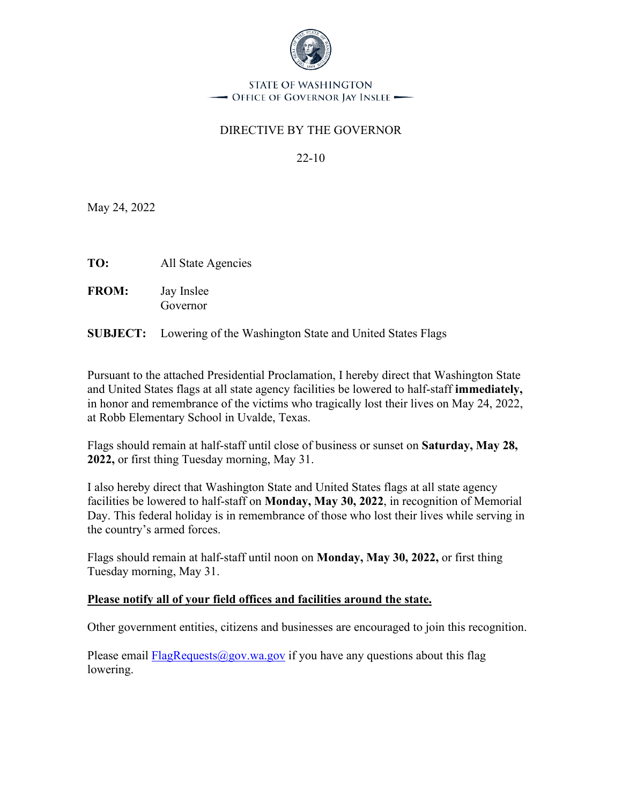

STATE OF WASHINGTON - Office of Governor Jay Inslee -

# DIRECTIVE BY THE GOVERNOR

22-10

May 24, 2022

**TO:** All State Agencies

**FROM:** Jay Inslee Governor

**SUBJECT:** Lowering of the Washington State and United States Flags

Pursuant to the attached Presidential Proclamation, I hereby direct that Washington State and United States flags at all state agency facilities be lowered to half-staff **immediately,**  in honor and remembrance of the victims who tragically lost their lives on May 24, 2022, at Robb Elementary School in Uvalde, Texas.

Flags should remain at half-staff until close of business or sunset on **Saturday, May 28, 2022,** or first thing Tuesday morning, May 31.

I also hereby direct that Washington State and United States flags at all state agency facilities be lowered to half-staff on **Monday, May 30, 2022**, in recognition of Memorial Day. This federal holiday is in remembrance of those who lost their lives while serving in the country's armed forces.

Flags should remain at half-staff until noon on **Monday, May 30, 2022,** or first thing Tuesday morning, May 31.

## **Please notify all of your field offices and facilities around the state.**

Other government entities, citizens and businesses are encouraged to join this recognition.

Please email FlagRequests $\omega$ gov.wa.gov if you have any questions about this flag lowering.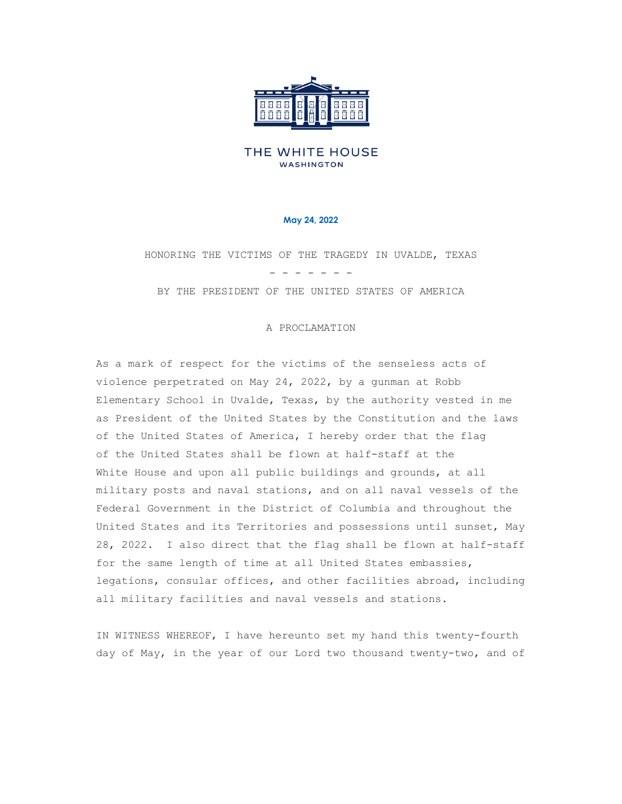

### THE WHITE HOUSE **WASHINGTON**

#### **May 24, 2022**

HONORING THE VICTIMS OF THE TRAGEDY IN UVALDE, TEXAS

- - - - - - -

BY THE PRESIDENT OF THE UNITED STATES OF AMERICA

#### A PROCLAMATION

As a mark of respect for the victims of the senseless acts of violence perpetrated on May 24, 2022, by a gunman at Robb Elementary School in Uvalde, Texas, by the authority vested in me as President of the United States by the Constitution and the laws of the United States of America, I hereby order that the flag of the United States shall be flown at half-staff at the White House and upon all public buildings and grounds, at all military posts and naval stations, and on all naval vessels of the Federal Government in the District of Columbia and throughout the United States and its Territories and possessions until sunset, May 28, 2022. I also direct that the flag shall be flown at half-staff for the same length of time at all United States embassies, legations, consular offices, and other facilities abroad, including all military facilities and naval vessels and stations.

IN WITNESS WHEREOF, I have hereunto set my hand this twenty-fourth day of May, in the year of our Lord two thousand twenty-two, and of